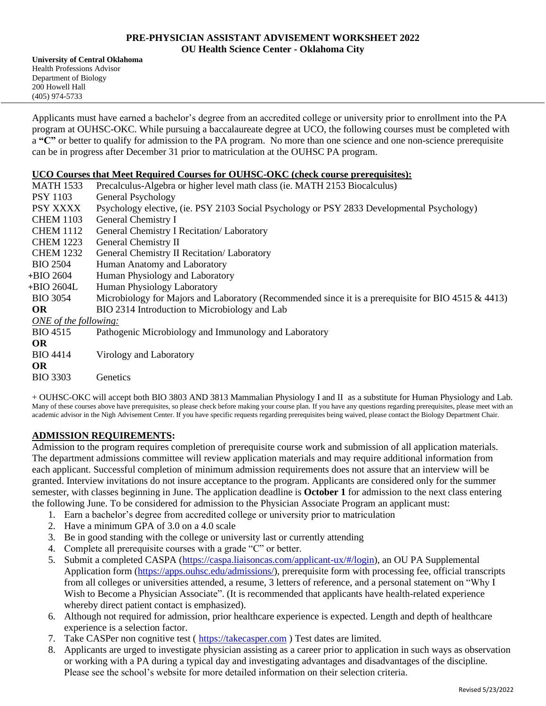### **PRE-PHYSICIAN ASSISTANT ADVISEMENT WORKSHEET 2022 OU Health Science Center - Oklahoma City**

**University of Central Oklahoma** Health Professions Advisor Department of Biology 200 Howell Hall (405) 974-5733

Applicants must have earned a bachelor's degree from an accredited college or university prior to enrollment into the PA program at OUHSC-OKC. While pursuing a baccalaureate degree at UCO, the following courses must be completed with a **"C"** or better to qualify for admission to the PA program. No more than one science and one non-science prerequisite can be in progress after December 31 prior to matriculation at the OUHSC PA program.

### **UCO Courses that Meet Required Courses for OUHSC-OKC (check course prerequisites):**

| <b>MATH 1533</b>      | Precalculus-Algebra or higher level math class (ie. MATH 2153 Biocalculus)                          |
|-----------------------|-----------------------------------------------------------------------------------------------------|
| <b>PSY 1103</b>       | General Psychology                                                                                  |
| PSY XXXX              | Psychology elective, (ie. PSY 2103 Social Psychology or PSY 2833 Developmental Psychology)          |
| <b>CHEM 1103</b>      | General Chemistry I                                                                                 |
| <b>CHEM 1112</b>      | General Chemistry I Recitation/ Laboratory                                                          |
| <b>CHEM 1223</b>      | General Chemistry II                                                                                |
| <b>CHEM 1232</b>      | General Chemistry II Recitation/ Laboratory                                                         |
| <b>BIO 2504</b>       | Human Anatomy and Laboratory                                                                        |
| +BIO 2604             | Human Physiology and Laboratory                                                                     |
| +BIO 2604L            | Human Physiology Laboratory                                                                         |
| <b>BIO 3054</b>       | Microbiology for Majors and Laboratory (Recommended since it is a prerequisite for BIO 4515 & 4413) |
| <b>OR</b>             | BIO 2314 Introduction to Microbiology and Lab                                                       |
| ONE of the following: |                                                                                                     |
| <b>BIO</b> 4515       | Pathogenic Microbiology and Immunology and Laboratory                                               |
| <b>OR</b>             |                                                                                                     |
| <b>BIO 4414</b>       | Virology and Laboratory                                                                             |
| <b>OR</b>             |                                                                                                     |
| <b>BIO 3303</b>       | Genetics                                                                                            |
|                       |                                                                                                     |

+ OUHSC-OKC will accept both BIO 3803 AND 3813 Mammalian Physiology I and II as a substitute for Human Physiology and Lab. Many of these courses above have prerequisites, so please check before making your course plan. If you have any questions regarding prerequisites, please meet with an academic advisor in the Nigh Advisement Center. If you have specific requests regarding prerequisites being waived, please contact the Biology Department Chair.

## **ADMISSION REQUIREMENTS:**

Admission to the program requires completion of prerequisite course work and submission of all application materials. The department admissions committee will review application materials and may require additional information from each applicant. Successful completion of minimum admission requirements does not assure that an interview will be granted. Interview invitations do not insure acceptance to the program. Applicants are considered only for the summer semester, with classes beginning in June. The application deadline is **October 1** for admission to the next class entering the following June. To be considered for admission to the Physician Associate Program an applicant must:

- 1. Earn a bachelor's degree from accredited college or university prior to matriculation
- 2. Have a minimum GPA of 3.0 on a 4.0 scale
- 3. Be in good standing with the college or university last or currently attending
- 4. Complete all prerequisite courses with a grade "C" or better.
- 5. Submit a completed CASPA (https://caspa.liaisoncas.com/applicant-ux/#/login), an OU PA Supplemental Application form (https://apps.ouhsc.edu/admissions/), prerequisite form with processing fee, official transcripts from all colleges or universities attended, a resume, 3 letters of reference, and a personal statement on "Why I Wish to Become a Physician Associate". (It is recommended that applicants have health-related experience whereby direct patient contact is emphasized).
- 6. Although not required for admission, prior healthcare experience is expected. Length and depth of healthcare experience is a selection factor.
- 7. Take CASPer non cognitive test ( https://takecasper.com ) Test dates are limited.
- 8. Applicants are urged to investigate physician assisting as a career prior to application in such ways as observation or working with a PA during a typical day and investigating advantages and disadvantages of the discipline. Please see the school's website for more detailed information on their selection criteria.